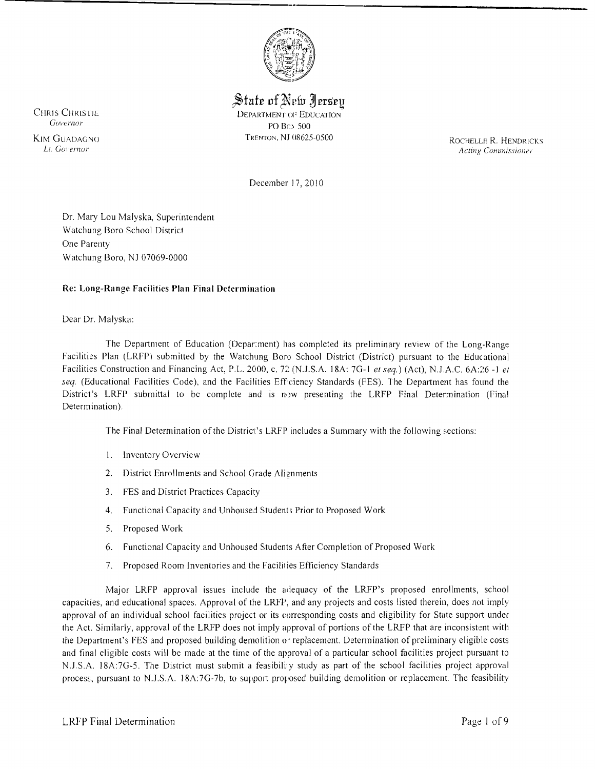

~fuf:e of~rfu m:ers:eu CHRIS CHRISTIE DEPARTMENT OF EDUCATION COVERAGE CHRISTIC COVERAGE COVERAGE CONTRACT OF EXAMPLE COVERAGE CONTRACT OF EXAMPLE CONTRACT OF EXAMPLE CONTRACT OF EXAMPLE CONTRACT OF EXAMPLE CONTRACT OF EXAMPLE CONTRACT OF EXAMPL PO Bc> 500

KIM GUADAGNO TRENTON, NJ 08625-0500 ROCHELLE R. HENDRICKS<br>L. Governor active Commissioner Acting Commissioner

December 17, 2010

Dr. Mary Lou Malyska, Superintendent Watchung Boro School District One Parenty Watchung Boro, NJ 07069-0000

## Re: Long-Range Facilities Plan Final Determination

Dear Dr. Malyska:

The Department of Education (Depar:ment) has completed its preliminary review of the Long-Range Facilities Plan (LRFP) submitted by the Watchung Boro School District (District) pursuant to the Educational Facilities Construction and Financing Act, P.L. 2000, c. 72 (N.J.S.A. 18A: 7G-1 *et seq.*) (Act), N.J.A.C. 6A:26 -1 *et seq.* (Educational Facilities Code), and the Facilities Effciency Standards (FES). The Department has found the District's LRFP submittal to be complete and is now presenting the LRFP Final Determination (Final Determination).

The Final Determination of the District's LRFP includes a Summary with the following sections:

- 1. Inventory Overview
- 2. District Enrollments and School Grade Alignments
- 3. FES and District Practices Capaciry
- 4. Functional Capacity and Unhoused Students Prior to Proposed Work
- 5. Proposed Work
- 6. Functional Capacity and Unhoused Students After Completion of Proposed Work
- 7. Proposed Room Inventories and the Facililies Efficiency Standards

Major LRFP approval issues include the adequacy of the LRFP's proposed enrollments, school capacities, and educational spaces. Approval of the LRFP, and any projects and costs listed therein, does not imply approval of an individual school facilities project or its corresponding costs and eligibility for State support under the Act. Similarly, approval of the LRFP does not imply approval of portions of the LRFP that are inconsistent with the Department's FES and proposed building demolition  $\sigma$  replacement. Determination of preliminary eligible costs and final eligible costs will be made at the time of the approval of a particular school facilities project pursuant to N.J.S.A. 18A:7G-5. The District must submit a feasibility study as part of the school facilities project approval process, pursuant to N.l.S.A. 18A:7G-7b, to support proposed building demolition or replacement. The feasibility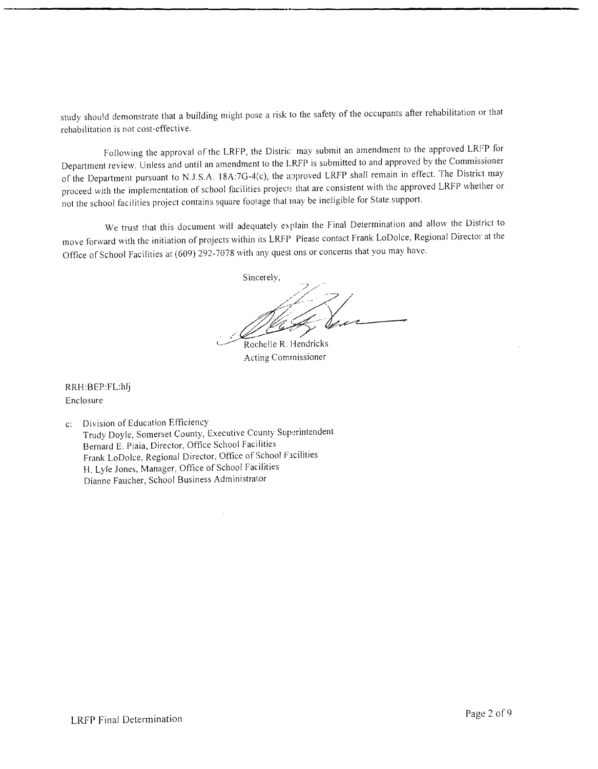study should demonstrate that a building might pose a risk to the safety of the occupants after rehabilitation or that rehabilitation is not cost-effective.

Following the approval of the LRFP, the Distric<sup>-</sup> may submit an amendment to the approved LRFP for Department review. Unless and until an amendment to the LRFP is submitted to and approved by the Commissioner of the Department pursuant to N.J.S.A. 18A:7G-4(c), the approved LRFP shall remain in effect. The District may proceed with the implementation of school facilities projects that are consistent with the approved LRFP whether or not the school facilities project contains square footage that may be ineligible for State support.

We trust that this document will adequately explain the Final Determination and allow the District to move forward with the initiation of projects within its LRFP Please contact Frank LoDolce, Regional Director at the Office of School Facilities at (609) 292-7078 with any quest ons or concerns that you may have.

Sincerely, <u>|</u><br>|-<br>| | | | Mag Sen

 $\sim$ Rochelle R. Hendricks Acting Commissioner

RRH:BEP:FLhlj Enclosure

c: Division of Education Efficiency Trudy Doyle, Somerset County, Executive County Superintendent Bernard E. Piaia, Director, Office School Facilities Frank LoDolce, Regional Director, Office of School Facilities H. Lyle Jones, Manager, Office of School Facilities Dianne Faucher, School Business Administrator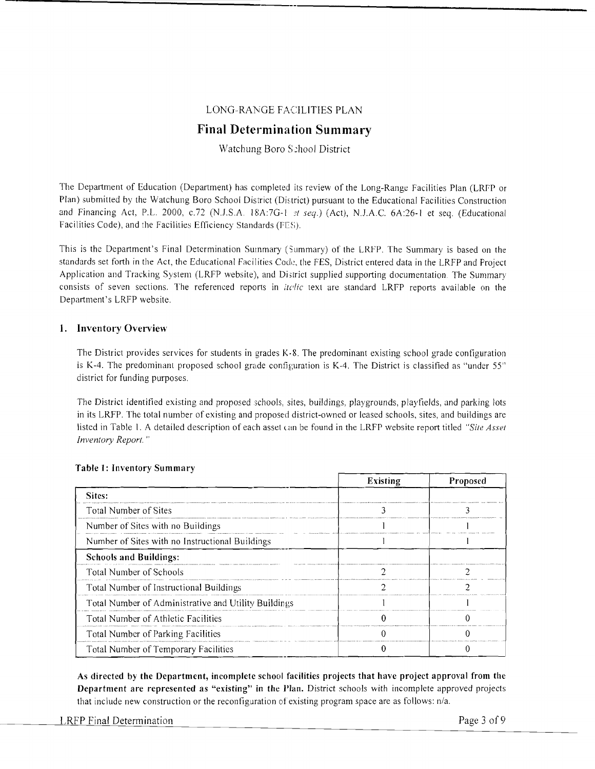## LONG-RANGE FACILITIES PLAN

# **Final Determination Summary**

## Watchung Boro S:hool District

The Department of Education (Department) has completed its review of the Long-Range Facilities Plan (LRfP or Plan) submitted by the Watchung Boro School District (District) pursuant to the Educational Facilities Construction and Financing Act, P.L. 2000, c.72 (N.J.S.A. 18A:7G-1 at seq.) (Act), N.J.A.C. 6A:26-1 et seq. (Educational Facilities Code), and the Facilities Efficiency Standards (FES).

This is the Department's Final Determination Summary (Summary) of the LRFP. The Summary is based on the standards set forth in the Act, the Educational Facilities Code, the FES, District entered data in the LRFP and Project Application and Tracking System (LRFP website), and District supplied supporting documentation. The Summary consists of seven sections. The referenced reports in *itelic* text are standard LRFP reports available on the Department's LRFP website.

## **1. Inventory Overview**

The District provides services for students in grades  $K-8$ . The predominant existing school grade configuration is K-4. The predominant proposed school grade configuration is K-4. The District is classified as "under 55" district for funding purposes.

The District identified existing and proposed schools, sites, buildings, playgrounds, playfields, and parking lots in its LRFP. The total number of existing and proposed district-owned or leased schools, sites, and buildings are listed in Table I. A detailed description of each asset (.an be found in the LRFP website report titled *"Site Asset Inventory Report. "* 

|                                                      | <b>Existing</b> | <b>Proposed</b> |  |
|------------------------------------------------------|-----------------|-----------------|--|
| Sites:                                               |                 |                 |  |
| Total Number of Sites                                |                 |                 |  |
| Number of Sites with no Buildings                    |                 |                 |  |
| Number of Sites with no Instructional Buildings      |                 |                 |  |
| <b>Schools and Buildings:</b>                        |                 |                 |  |
| Total Number of Schools                              |                 |                 |  |
| Total Number of Instructional Buildings              |                 |                 |  |
| Total Number of Administrative and Utility Buildings |                 |                 |  |
| Total Number of Athletic Facilities                  |                 |                 |  |
| Total Number of Parking Facilities                   |                 |                 |  |
| Total Number of Temporary Facilities                 |                 |                 |  |

#### **Table 1: Inventory Summary**

As directed by the Department, incomplete school facilities projects that have project approval from the **Department are represented as "existing" in the Plan.** District schools with incomplete approved projects that include new construction or the reconfiguration of existing program space are as follows: n/a.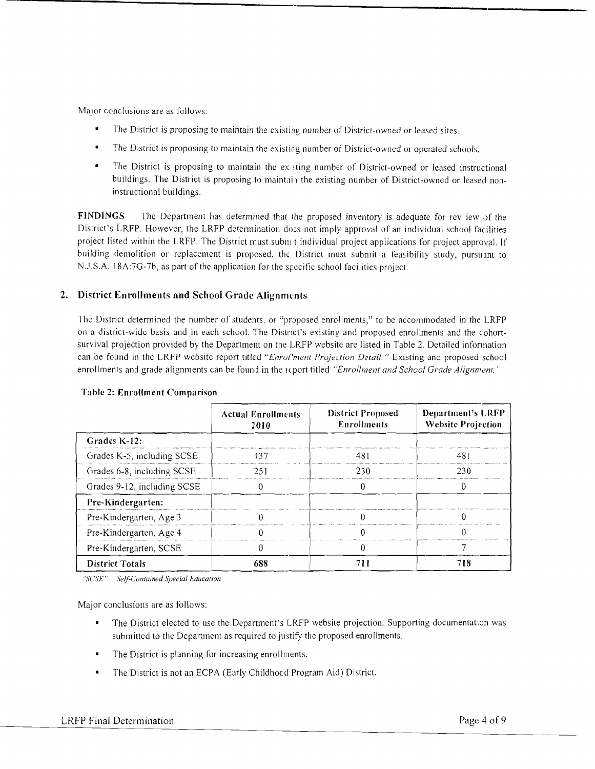Major conclusions are as follows:

- The District is proposing to maintain the existing number of District-owned or leased sites.
- The District is proposing to maintain the existing number of District-owned or operated schools.
- The District is proposing to maintain the existing number of District-owned or leased instructional buildings. The District is proposing to maintain the existing number of District-owned or leased noninstructional buildings.

**FINDINGS** The Department has determined that the proposed inventory is adequate for rev iew of the District's LRFP. However, the LRFP determination does not imply approval of an individual school facilities project listed within the LRFP. The District must subm t individual project applications for project approval. If building demolition or replacement is proposed, the District must submit a feasibility study, pursuant to N.J.S.A. 18A:7G-7b, as part of the application for the specific school facilities project.

# 2. District Enrollments and School Grade Alignments

The District determined the number of students, or "proposed enrollments," to be accommodated in the LRFP on a district-wide basis and in each school. The District's existing and proposed enrollments and the cohortsurvival projection provided by the Department on the LRFP website are listed in Table 2. Detailed information can be found in the LRFP website report titled "Enrol'ment Projection Detail." Existing and proposed school enrollments and grade alignments can be found in the report titled "Enrollment and School Grade Alignment."

|                             | <b>Actual Enrollments</b><br>2010 | <b>District Proposed</b><br><b>Enrollments</b> | <b>Department's LRFP</b><br><b>Website Projection</b> |  |
|-----------------------------|-----------------------------------|------------------------------------------------|-------------------------------------------------------|--|
| Grades K-12:                |                                   |                                                |                                                       |  |
| Grades K-5, including SCSE  |                                   | 48.                                            | 48.                                                   |  |
| Grades 6-8, including SCSE  | 251                               | 230                                            | 230                                                   |  |
| Grades 9-12, including SCSE |                                   |                                                |                                                       |  |
| Pre-Kindergarten:           |                                   |                                                |                                                       |  |
| Pre-Kindergarten, Age 3     |                                   |                                                |                                                       |  |
| Pre-Kindergarten, Age 4     |                                   |                                                |                                                       |  |
| Pre-Kindergarten, SCSE      |                                   |                                                |                                                       |  |
| <b>District Totals</b>      | 688                               |                                                |                                                       |  |

## **Table 2: Enrollment Comparison**

"SCSE" = Self-Contained Special Education

Major conclusions are as follows:

- The District elected to use the Department's LRFP website projection. Supporting documentation was submitted to the Department as required to justify the proposed enrollments.
- The District is planning for increasing enrollments.
- The District is not an ECPA (Early Childhood Program Aid) District.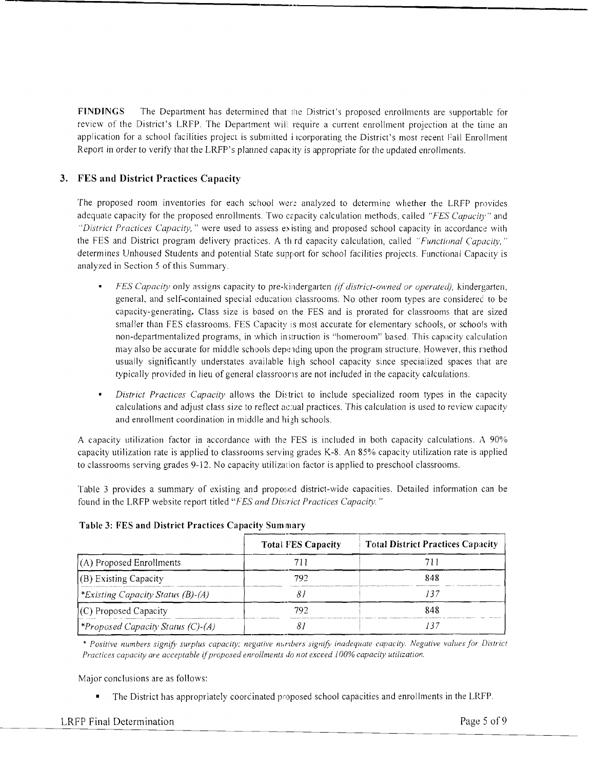**FINDINGS** The Department has determined that the District's proposed enrollments are supportable for review of the District's LRFP. The Department will require a current enrollment projection at the time an application for a school facilities project is submitted i icorporating the District's most recent Fall Enrollment Report in order to verify that the LRFP's planned capacity is appropriate for the updated enrollments.

**'--------------------------------,** 

# **3. FES and District Practices Capacity**

The proposed room inventories for each school were analyzed to determine whether the LRFP provides adequate capacity for the proposed enrollments. Two c2pacity calculation methods, called *"FES Capacit)'''* and *"District Practices Capacity,"* were used to assess existing and proposed school capacity in accordance with the FES and District program delivery practices. A th rd capacity calculation, called *"Functional Capacity,"* determines Unhoused Students and potential State support for school facilities projects. Functional Capacity is analyzed in Section 5 of this Summary.

- *FES Capacity* only assigns capacity to pre-kindergarten *(if district-owned or operated),* kindergarten, generaL and self-contained special education classrooms. No other room types are considerec to be capacity-generating. Class size is based on the FES and is prorated for classrooms that are sized smaller than FES classrooms. FES Capacity is most accurate for elementary schools, or schools with non-departmentalized programs, in which instruction is "homeroom" based. This capacity calculation may also be accurate for middle schools depending upon the program structure. However, this method usually significantly understates available high school capacity since specialized spaces that are typically provided in lieu of general classroorls are not included in the capacity calculations.
- *District Practices Capacity* allows the District to include specialized room types in the capacity calculations and adjust class size to reflect ac:ual practices. This calculation is used to review capacity and enrollment coordination in middle and high schools.

A capacity utilization factor in accordance with the FES is included in both capacity calculations. A 90% capacity utilization rate is applied' to classrooms serving grades K-8. An 85% capacity utilization rate is applied to classrooms serving grades 9-12. No capacity utilizacion factor is applied to preschool classrooms.

Table 3 provides a summary of existing and proposed district-wide capacities. Detailed information can be found in the LRFP website report titled *"FES and Dis'rict Practices Capacity. "* 

|                                          | <b>Total FES Capacity</b> | <b>Total District Practices Capacity</b> |
|------------------------------------------|---------------------------|------------------------------------------|
| $(A)$ Proposed Enrollments               |                           |                                          |
| (B) Existing Capacity                    | 792                       | 848                                      |
| <i>*Existing Capacity Status (B)-(A)</i> |                           |                                          |
| (C) Proposed Capacity                    | 792                       |                                          |
| <i>Proposed Capacity Status (C)-(A)</i>  |                           |                                          |

# **Table 3: FES and District Practices Capacity Summary**

\* Positive numbers signify surplus capacity; negative nuribers signify inadequate capacity. Negative values for District *Practices capacity are acceptable* If*proposed enrollments do not exceed I00% capacity utilization.* 

Major conclusions are as follows:

• The District has appropriately coordinated proposed school capacities and enrollments in the LRFP.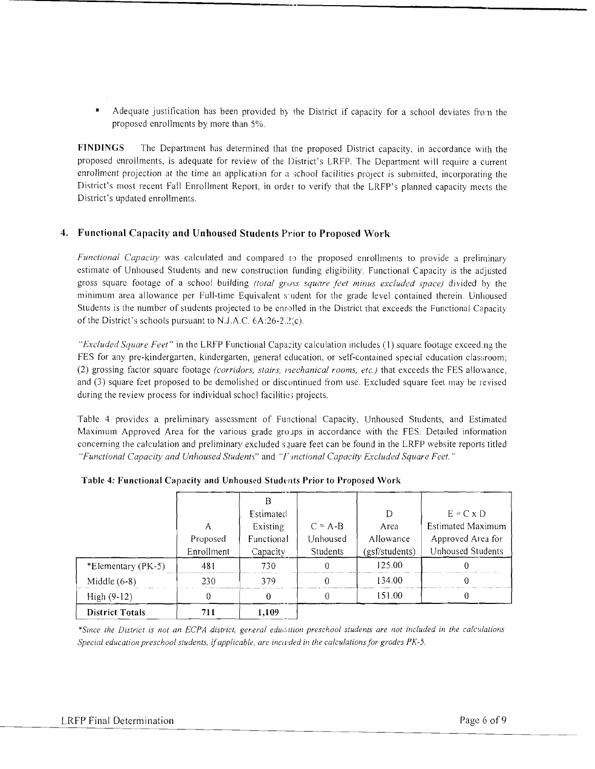Adequate justification has been provided by the District if capacity for a school deviates fron the proposed enrollments by more than 5%.

**----------------------------------**

**FINDINGS** The Department has determined that the proposed District capacity, in accordance with the proposed enrollments, is adequate for review of the District's LRFP. The Department will require a current enrollment projection at the time an application for a school facilities project is submitted, incorporating the District's most recent Fall Enrollment Report. in order to verify that the LRFP's planned capacity meets the District's updated enrollments.

# **4. Functional Capacity and Unhoused Students Prior to Proposed Work**

*Functional Capacity* was calculated and compared to the proposed enrollments to provide a preliminary estimate of Unhoused Students and new construction funding eligibility. Functional Capacity is the adjusted gross square footage of a school building *(total gross square feet minus excluded space)* divided by the minimum area allowance per Full-time Equivalent s'udent for the grade level contained therein. Unhoused Students is the number of students projected to be enrolled in the District that exceeds the Functional Capacity of the District's schools pursuant to N.J.A.C.  $6A:26-2.2(c)$ .

*"Excluded Square Feet"* in the LRFP Functional Capacity calculation includes (I) square footage exceed.ng the FES for any pre-kindergarten, kindergarten, general education, or self-contained special education classroom; (2) grossing factor square footage *(corridors, stairs, mechanical rooms, etc.)* that exceeds the FES allowance, and (3) square feet proposed to be demolished or discontinued from use. Excluded square feet may be revised during the review process for individual school facilities projects.

Table 4 provides a preliminary assessment of Functional Capacity, Unhoused Students, and Estimated Maximum Approved Area for the various grade groups in accordance with the FES. Detailed information concerning the calculation and preliminary excluded square feet can be found in the LRFP website reports titled *"Functional Capacity and Unhoused Students"* and *"F'II1ctional Capacity Excluded Square Feel. "* 

|                        |            | Estimated  |                 |                | $E = C \times D$  |
|------------------------|------------|------------|-----------------|----------------|-------------------|
|                        | А          | Existing   | $C = A - B$     | Area           | Estimated Maximum |
|                        | Proposed   | Functional | Unhoused        | Allowance      | Approved Area for |
|                        | Enrollment | Capacity   | <b>Students</b> | (gsf/students) | Unhoused Students |
| *Elementary (PK-5)     | 481        | 730        |                 | 125.00         |                   |
| Middle $(6-8)$         | 230        | 379        |                 | 134.00         |                   |
| $High (9-12)$          | N          |            |                 | 151.00         |                   |
| <b>District Totals</b> | 711        | 1,109      |                 |                |                   |

# Table 4: Functional Capacity and Unhoused Students Prior to Proposed Work

\*Since the District is not an ECPA district, general education preschool students are not included in the calculations *Special education preschool students, if applicable, are incivedd in the calculations for grades PK-5.*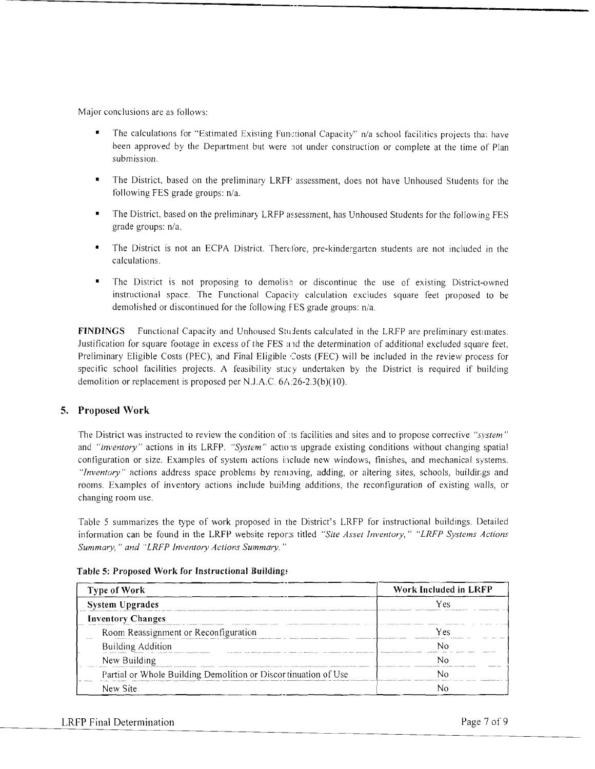Major conclusions are as follows:

The calculations for "Estimated Existing Functional Capacity" n/a school facilities projects that have been approved by the Department but were lot under construction or complete at the time of Plan submission.

----------------------------------

- The District, based on the preliminary LRFF assessment, does not have Unhoused Students for the following FES grade groups: n/a.
- The District, based on the preliminary LRFP assessment, has Unhoused Students for the following FES grade groups: n/a.
- The District is not an ECPA District. Therefore, pre-kindergarten students are not included in the calculations.
- The District is not proposing to demolish or discontinue the use of existing District-owned instructional space. The Functional Capacity calculation excludes square feet proposed to be demolished or discontinued for the following F'ES grade groups: n/a.

FINDINGS Functional Capacity and Unhoused Students calculated in the LRFP are preliminary estimates. Justification for square footage in excess of the FES a 1d the determination of additional excluded square feet, Preliminary Eligible Costs (PEC), and Final Eligible Costs (FEC) will be included in the review process for specific school facilities projects. A feasibility stuey undertaken by the District is required if building demolition or replacement is proposed per N.J.A.C.  $6A.26-2.3(b)(10)$ .

# 5. Proposed Work

The District was instructed to review the condition of its facilities and sites and to propose corrective *"system"* and "inventory" actions in its LRFP. "System" actions upgrade existing conditions without changing spatial configuration or size. Examples of system actions include new windows, finishes, and mechanical systems. *"Inventory"* actions address space problems by removing, adding, or altering sites, schools, buildings and rooms. Examples of inventory actions include building additions, the reconfiguration of existing walls, or changing room use.

Table 5 summarizes the type of work proposed in the District's LRFP for instructional buildings. Detailed information can be found in the LRFP website repor:s titled "Site Asset Inventory," "LRFP Systems Actions *Summary," and "LRFP Inventory Actions Summary."* 

| <b>Type of Work</b>                                            | Work Included in LRFP |
|----------------------------------------------------------------|-----------------------|
| System Upgrades                                                | Υρς                   |
| <b>Inventory Changes</b>                                       |                       |
| Room Reassignment or Reconfiguration                           | Yes                   |
| <b>Building Addition</b>                                       |                       |
| New Building                                                   |                       |
| Partial or Whole Building Demolition or Discortinuation of Use |                       |
| New Site                                                       |                       |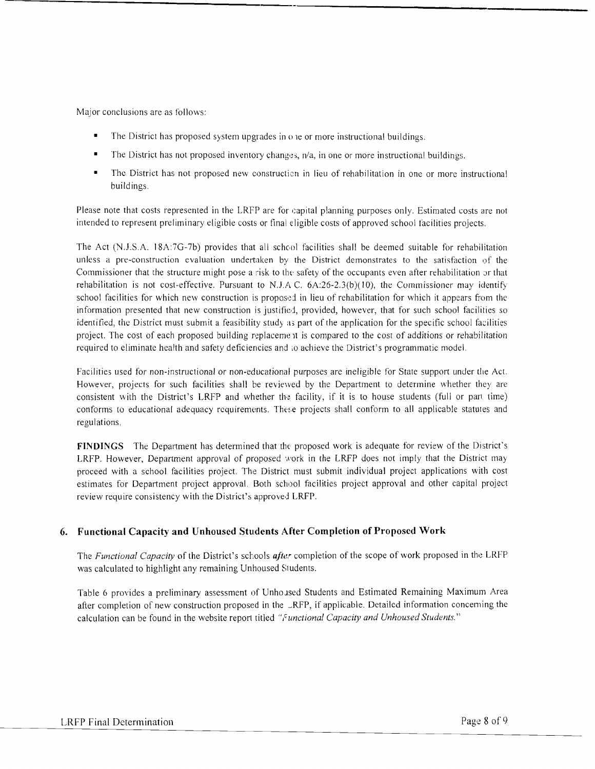Major conclusions are as follows:

- The District has proposed system upgrades in  $o$  ie or more instructional buildings.
- $\blacksquare$  The District has not proposed inventory changes,  $n/a$ , in one or more instructional buildings.
- The District has not proposed new construction in lieu of rehabilitation in one or more instructional buildings.

**----------------------------------**

Please note that costs represented in the LRFP are for capital planning purposes only. Estimated costs are not intended to represent preliminary eligible costs or final eligible costs of approved school facilities projects.

The Act (N.J.S.A. 18A:7G-7b) provides that all school facilities shall be deemed suitable for rehabilitation unless a pre-construction evaluation undertaken by the District demonstrates to the satisfaction of the Commissioner that the structure might pose a risk to the safety of the occupants even after rehabilitation or that rehabilitation is not cost-effective. Pursuant to N.J.A C.  $6A:26-2.3(b)(10)$ , the Commissioner may identify school facilities for which new construction is proposed in lieu of rehabilitation for which it appears from the information presented that new construction is justified, provided, however, that for such school facilities so identified, the District must submit a feasibility study as part of the application for the specific school facilities project. The cost of each proposed building replacerne 1t is compared to the cost of additions or rehabil itation required to eliminate health and safety deficiencies and to achieve the District's programmatic model.

Facilities used for non-instructional or non-educational purposes are ineligible for State support under the Act. However, projects for such facilities shall be reviewed by the Department to determine whether they are consistent with the District's LRFP and whether the facility, if it is to house students (full or part time) conforms to educational adequacy requirements. These projects shall conform to all applicable statutes and regulations.

**FINDINGS** The Department has determined that the proposed work is adequate for review of the District's LRFP. However, Department approval of proposed work in the LRFP does not imply that the District may proceed with a school facilities project. The District must submit individual project applications with cost estimates for Department project approval. Both school facilities project approval and other capital project review require consistency with the District's approved LRFP.

# **6.** Functional Capacity and Unhoused Students After Completion of Proposed Work

The *Functional Capacity* of the District's schools *after* completion of the scope of work proposed in the LRFP was calculated to highlight any remaining Unhoused Students.

Table 6 provides a preliminary assessment of Unho, used Students and Estimated Remaining Maximum Area after completion of new construction proposed in the \_RFP, if applicable. Detailed information concerning the calculation can be found in the website report titled "{; *unctional Capacity and Unhoused Students."*